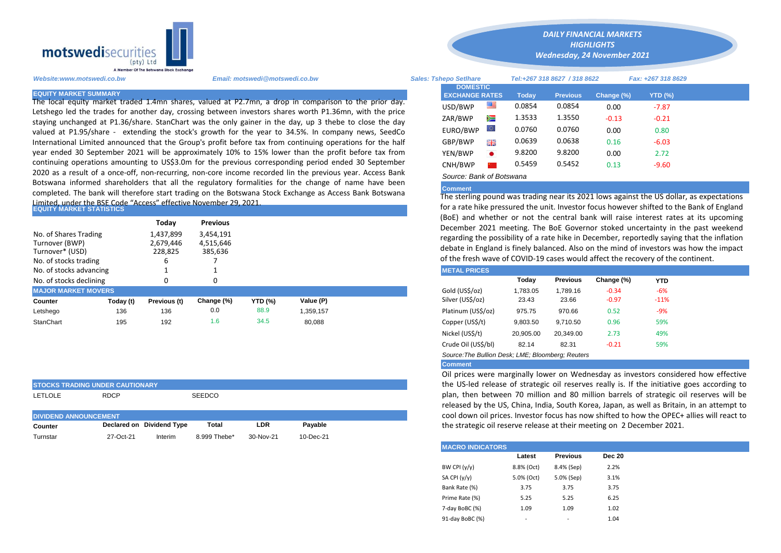

Limited, under the BSE Code "Access" effective November 29, 2021.<br>EQUITY MARKET STATISTICS Letshego led the trades for another day, crossing between investors shares worth P1.36mn, with the price staying unchanged at P1.36/share. StanChart was the only gainer in the day, up 3 thebe to close the day valued at P1.95/share - extending the stock's growth for the year to 34.5%. In company news, SeedCo International Limited announced that the Group's profit before tax from continuing operations for the half year ended 30 September 2021 will be approximately 10% to 15% lower than the profit before tax from continuing operations amounting to US\$3.0m for the previous corresponding period ended 30 September 2020 as a result of a once-off, non-recurring, non-core income recorded lin the previous year. Access Bank Botswana informed shareholders that all the regulatory formalities for the change of name have been completed. The bank will therefore start trading on the Botswana Stock Exchange as Access Bank Botswana

|                                                                                     |           | Today                                  | <b>Previous</b>                   |                |           |                                                                                                                                                                                                                                                                                                        | (BoE) and whether or not the central bank will raise interest rates a |          |                 |            |            |
|-------------------------------------------------------------------------------------|-----------|----------------------------------------|-----------------------------------|----------------|-----------|--------------------------------------------------------------------------------------------------------------------------------------------------------------------------------------------------------------------------------------------------------------------------------------------------------|-----------------------------------------------------------------------|----------|-----------------|------------|------------|
| No. of Shares Trading<br>Turnover (BWP)<br>Turnover* (USD)<br>No. of stocks trading |           | 1,437,899<br>2,679,446<br>228,825<br>b | 3,454,191<br>4,515,646<br>385,636 |                |           | December 2021 meeting. The BoE Governor stoked uncertainty in the<br>regarding the possibility of a rate hike in December, reportedly saying the<br>debate in England is finely balanced. Also on the mind of investors was<br>of the fresh wave of COVID-19 cases would affect the recovery of the co |                                                                       |          |                 |            |            |
| No. of stocks advancing                                                             |           |                                        |                                   |                |           |                                                                                                                                                                                                                                                                                                        | <b>METAL PRICES</b>                                                   |          |                 |            |            |
| No. of stocks declining                                                             |           | 0                                      |                                   |                |           |                                                                                                                                                                                                                                                                                                        |                                                                       | Today    | <b>Previous</b> | Change (%) | <b>YTD</b> |
| <b>MAJOR MARKET MOVERS</b>                                                          |           |                                        |                                   |                |           |                                                                                                                                                                                                                                                                                                        | Gold (US\$/oz)                                                        | 1,783.05 | 1.789.16        | $-0.34$    | $-6%$      |
| Counter                                                                             | Today (t) | Previous (t)                           | Change (%)                        | <b>YTD (%)</b> | Value (P) |                                                                                                                                                                                                                                                                                                        | Silver (US\$/oz)                                                      | 23.43    | 23.66           | $-0.97$    | $-11%$     |
| Letshego                                                                            | 136       | 136                                    | 0.0                               | 88.9           | 1.359.157 |                                                                                                                                                                                                                                                                                                        | Platinum (US\$/oz)                                                    | 975.75   | 970.66          | 0.52       | $-9%$      |
| StanChart                                                                           | 195       | 192                                    | 1.6                               | 34.5           | 80,088    |                                                                                                                                                                                                                                                                                                        | Copper (US\$/t)                                                       | 9,803.50 | 9.710.50        | 0.96       | 59%        |
|                                                                                     |           |                                        |                                   |                |           |                                                                                                                                                                                                                                                                                                        |                                                                       |          |                 |            |            |

|                              | <b>STOCKS TRADING UNDER CAUTIONARY</b> |                           |               |            |         |  |
|------------------------------|----------------------------------------|---------------------------|---------------|------------|---------|--|
| LETLOLE                      | <b>RDCP</b>                            |                           | <b>SEEDCO</b> |            |         |  |
|                              |                                        |                           |               |            |         |  |
|                              |                                        |                           |               |            |         |  |
| <b>DIVIDEND ANNOUNCEMENT</b> |                                        |                           |               |            |         |  |
| Counter                      |                                        | Declared on Dividend Type | Total         | <b>LDR</b> | Pavable |  |

*Website:www.motswedi.co.bw Email: motswedi@motswedi.co.bw Sales: Tshepo Setlhare Tel:+267 318 8627 / 318 8622 Fax: +267 318 8629*  EQUITY MARKET SUMMARY **The local equity market traded 1.4mn shares**, valued at P2.7mn, a drop in comparison to the prior day.<br>The local equity market traded 1.4mn shares, valued at P2.7mn, a drop in comparison to the prior **DOMESTIC EXCHANGE RATES** *HIGHLIGHTS Wednesday, 24 November 2021* 

*DAILY FINANCIAL MARKETS*

| USD/BWP  | ≝         | 0.0854 | 0.0854 | 0.00    | $-7.87$ |
|----------|-----------|--------|--------|---------|---------|
| ZAR/BWP  | ∕≡        | 1.3533 | 1.3550 | $-0.13$ | $-0.21$ |
| EURO/BWP | $\circ$   | 0.0760 | 0.0760 | 0.00    | 0.80    |
| GBP/BWP  | 噐         | 0.0639 | 0.0638 | 0.16    | $-6.03$ |
| YEN/BWP  | $\bullet$ | 9.8200 | 9.8200 | 0.00    | 2.72    |
| CNH/BWP  | ×2. .     | 0.5459 | 0.5452 | 0.13    | $-9.60$ |
|          |           |        |        |         |         |

## *Source: Bank of Botswana*

## **Comment**

The sterling pound was trading near its 2021 lows against the US dollar, as expectations for a rate hike pressured the unit. Investor focus however shifted to the Bank of England (BoE) and whether or not the central bank will raise interest rates at its upcoming December 2021 meeting. The BoE Governor stoked uncertainty in the past weekend regarding the possibility of a rate hike in December, reportedly saying that the inflation debate in England is finely balanced. Also on the mind of investors was how the impact of the fresh wave of COVID-19 cases would affect the recovery of the continent.

| <b>METAL PRICES</b>                               |           |                 |            |        |  |
|---------------------------------------------------|-----------|-----------------|------------|--------|--|
|                                                   | Today     | <b>Previous</b> | Change (%) | YTD    |  |
| Gold (US\$/oz)                                    | 1,783.05  | 1,789.16        | $-0.34$    | $-6%$  |  |
| Silver (US\$/oz)                                  | 23.43     | 23.66           | $-0.97$    | $-11%$ |  |
| Platinum (US\$/oz)                                | 975.75    | 970.66          | 0.52       | -9%    |  |
| Copper (US\$/t)                                   | 9,803.50  | 9.710.50        | 0.96       | 59%    |  |
| Nickel (US\$/t)                                   | 20,905.00 | 20,349.00       | 2.73       | 49%    |  |
| Crude Oil (US\$/bl)                               | 82.14     | 82.31           | $-0.21$    | 59%    |  |
| Source: The Bullion Desk: LME: Bloomberg: Reuters |           |                 |            |        |  |

## **Comment**

Oil prices were marginally lower on Wednesday as investors considered how effective the US-led release of strategic oil reserves really is. If the initiative goes according to plan, then between 70 million and 80 million barrels of strategic oil reserves will be released by the US, China, India, South Korea, Japan, as well as Britain, in an attempt to cool down oil prices. Investor focus has now shifted to how the OPEC+ allies will react to the strategic oil reserve release at their meeting on 2 December 2021.

| <b>MACRO INDICATORS</b> |            |                 |               |
|-------------------------|------------|-----------------|---------------|
|                         | Latest     | <b>Previous</b> | <b>Dec 20</b> |
| BW CPI $(y/y)$          | 8.8% (Oct) | 8.4% (Sep)      | 2.2%          |
| SA CPI (y/y)            | 5.0% (Oct) | 5.0% (Sep)      | 3.1%          |
| Bank Rate (%)           | 3.75       | 3.75            | 3.75          |
| Prime Rate (%)          | 5.25       | 5.25            | 6.25          |
| 7-day BoBC (%)          | 1.09       | 1.09            | 1.02          |
| 91-day BoBC (%)         | ٠          | -               | 1.04          |